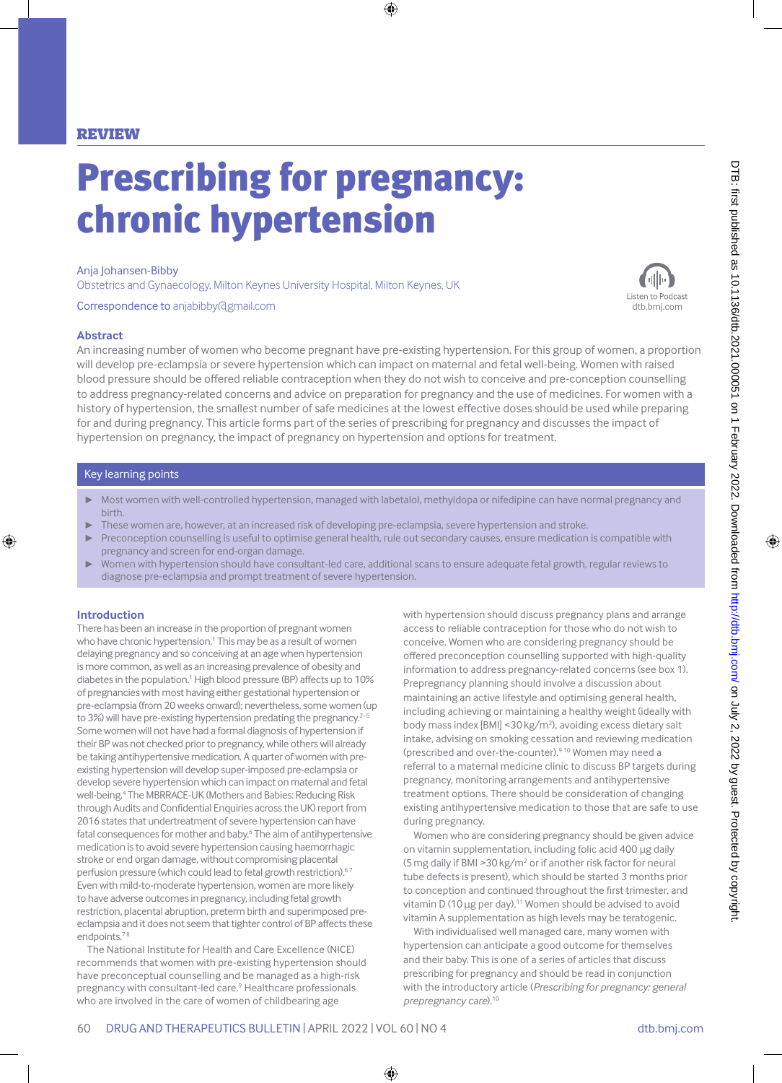# Review

# Prescribing for pregnancy: chronic hypertension

## Anja Johansen-Bibby

Obstetrics and Gynaecology, Milton Keynes University Hospital, Milton Keynes, UK

Correspondence to anjabibby@gmail.com

# **Abstract**

An increasing number of women who become pregnant have pre-existing hypertension. For this group of women, a proportion will develop pre-eclampsia or severe hypertension which can impact on maternal and fetal well-being. Women with raised blood pressure should be offered reliable contraception when they do not wish to conceive and pre-conception counselling to address pregnancy-related concerns and advice on preparation for pregnancy and the use of medicines. For women with a history of hypertension, the smallest number of safe medicines at the lowest effective doses should be used while preparing for and during pregnancy. This article forms part of the series of prescribing for pregnancy and discusses the impact of hypertension on pregnancy, the impact of pregnancy on hypertension and options for treatment.

# Key learning points

- Most women with well-controlled hypertension, managed with labetalol, methyldopa or nifedipine can have normal pregnancy and birth.
- These women are, however, at an increased risk of developing pre-eclampsia, severe hypertension and stroke.
- Preconception counselling is useful to optimise general health, rule out secondary causes, ensure medication is compatible with pregnancy and screen for end-organ damage.
- Women with hypertension should have consultant-led care, additional scans to ensure adequate fetal growth, regular reviews to diagnose pre-eclampsia and prompt treatment of severe hypertension.

# **Introduction**

There has been an increase in the proportion of pregnant women who have chronic hypertension.<sup>1</sup> This may be as a result of women delaying pregnancy and so conceiving at an age when hypertension is more common, as well as an increasing prevalence of obesity and diabetes in the population.<sup>1</sup> High blood pressure (BP) affects up to 10% of pregnancies with most having either gestational hypertension or pre-eclampsia (from 20 weeks onward); nevertheless, some women (up to 3%) will have pre-existing hypertension predating the pregnancy.<sup>2–1</sup> Some women will not have had a formal diagnosis of hypertension if their BP was not checked prior to pregnancy, while others will already be taking antihypertensive medication. A quarter of women with preexisting hypertension will develop super-imposed pre-eclampsia or develop severe hypertension which can impact on maternal and fetal well-being.<sup>4</sup> The MBRRACE-UK (Mothers and Babies: Reducing Risk through Audits and Confidential Enquiries across the UK) report from 2016 states that undertreatment of severe hypertension can have fatal consequences for mother and baby.<sup>6</sup> The aim of antihypertensive medication is to avoid severe hypertension causing haemorrhagic stroke or end organ damage, without compromising placental perfusion pressure (which could lead to fetal growth restriction).<sup>67</sup> Even with mild-to-moderate hypertension, women are more likely to have adverse outcomes in pregnancy, including fetal growth restriction, placental abruption, preterm birth and superimposed preeclampsia and it does not seem that tighter control of BP affects these endpoints.<sup>78</sup>

The National Institute for Health and Care Excellence (NICE) recommends that women with pre-existing hypertension should have preconceptual counselling and be managed as a high-risk pregnancy with consultant-led care.<sup>9</sup> Healthcare professionals who are involved in the care of women of childbearing age

with hypertension should discuss pregnancy plans and arrange access to reliable contraception for those who do not wish to conceive. Women who are considering pregnancy should be offered preconception counselling supported with high-quality information to address pregnancy-related concerns (see box 1). Prepregnancy planning should involve a discussion about maintaining an active lifestyle and optimising general health, including achieving or maintaining a healthy weight (ideally with body mass index [BMI] <30kg/m2 ), avoiding excess dietary salt intake, advising on smoking cessation and reviewing medication (prescribed and over-the-counter).9 10 Women may need a referral to a maternal medicine clinic to discuss BP targets during pregnancy, monitoring arrangements and antihypertensive treatment options. There should be consideration of changing existing antihypertensive medication to those that are safe to use during pregnancy.

Women who are considering pregnancy should be given advice on vitamin supplementation, including folic acid 400 μg daily (5 mg daily if BMI > 30 kg/m<sup>2</sup> or if another risk factor for neural tube defects is present), which should be started 3 months prior to conception and continued throughout the first trimester, and vitamin D (10  $\mu$ g per day).<sup>11</sup> Women should be advised to avoid vitamin A supplementation as high levels may be teratogenic.

With individualised well managed care, many women with hypertension can anticipate a good outcome for themselves and their baby. This is one of a series of articles that discuss prescribing for pregnancy and should be read in conjunction with the introductory article (*Prescribing for pregnancy: general prepregnancy care*).10





<dtb.bmj.com>

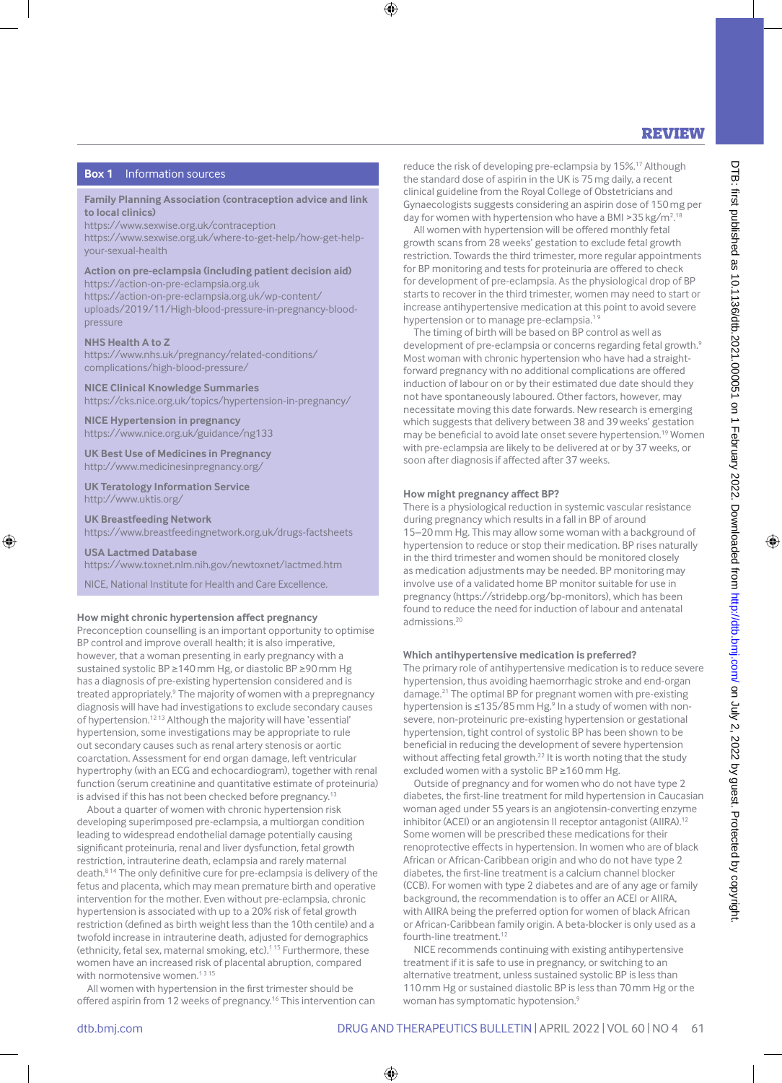# **Box 1** Information sources

#### **Family Planning Association (contraception advice and link to local clinics)**

<https://www.sexwise.org.uk/contraception>

[https://www.sexwise.org.uk/where-to-get-help/how-get-help](https://www.sexwise.org.uk/where-to-get-help/how-get-help-your-sexual-health)[your-sexual-health](https://www.sexwise.org.uk/where-to-get-help/how-get-help-your-sexual-health)

#### **Action on pre-eclampsia (including patient decision aid)** <https://action-on-pre-eclampsia.org.uk> [https://action-on-pre-eclampsia.org.uk/wp-content/](https://action-on-pre-eclampsia.org.uk/public-area/high-blood-pressure-in-pregnancy/#resources) [uploads/2019/11/High-blood-pressure-in-pregnancy-blood](https://action-on-pre-eclampsia.org.uk/public-area/high-blood-pressure-in-pregnancy/#resources)[pressure](https://action-on-pre-eclampsia.org.uk/public-area/high-blood-pressure-in-pregnancy/#resources)

**NHS Health A to Z** [https://www.nhs.uk/pregnancy/related-conditions/](https://www.nhs.uk/pregnancy/related-conditions/complications/high-blood-pressure/) [complications/high-blood-pressure/](https://www.nhs.uk/pregnancy/related-conditions/complications/high-blood-pressure/)

**NICE Clinical Knowledge Summaries** <https://cks.nice.org.uk/topics/hypertension-in-pregnancy/>

**NICE Hypertension in pregnancy** <https://www.nice.org.uk/guidance/ng133>

**UK Best Use of Medicines in Pregnancy** <http://www.medicinesinpregnancy.org/>

**UK Teratology Information Service** <http://www.uktis.org/>

**UK Breastfeeding Network** <https://www.breastfeedingnetwork.org.uk/drugs-factsheets>

**USA Lactmed Database** <https://www.toxnet.nlm.nih.gov/newtoxnet/lactmed.htm>

NICE, National Institute for Health and Care Excellence.

#### **How might chronic hypertension affect pregnancy**

Preconception counselling is an important opportunity to optimise BP control and improve overall health; it is also imperative, however, that a woman presenting in early pregnancy with a sustained systolic BP ≥140mm Hg, or diastolic BP ≥90mm Hg has a diagnosis of pre-existing hypertension considered and is treated appropriately.<sup>9</sup> The majority of women with a prepregnancy diagnosis will have had investigations to exclude secondary causes of hypertension.12 13 Although the majority will have 'essential' hypertension, some investigations may be appropriate to rule out secondary causes such as renal artery stenosis or aortic coarctation. Assessment for end organ damage, left ventricular hypertrophy (with an ECG and echocardiogram), together with renal function (serum creatinine and quantitative estimate of proteinuria) is advised if this has not been checked before pregnancy.<sup>13</sup>

About a quarter of women with chronic hypertension risk developing superimposed pre-eclampsia, a multiorgan condition leading to widespread endothelial damage potentially causing significant proteinuria, renal and liver dysfunction, fetal growth restriction, intrauterine death, eclampsia and rarely maternal death.8 14 The only definitive cure for pre-eclampsia is delivery of the fetus and placenta, which may mean premature birth and operative intervention for the mother. Even without pre-eclampsia, chronic hypertension is associated with up to a 20% risk of fetal growth restriction (defined as birth weight less than the 10th centile) and a twofold increase in intrauterine death, adjusted for demographics (ethnicity, fetal sex, maternal smoking, etc).1 15 Furthermore, these women have an increased risk of placental abruption, compared with normotensive women.<sup>1315</sup>

All women with hypertension in the first trimester should be offered aspirin from 12 weeks of pregnancy.<sup>16</sup> This intervention can reduce the risk of developing pre-eclampsia by 15%.17 Although the standard dose of aspirin in the UK is 75mg daily, a recent clinical guideline from the Royal College of Obstetricians and Gynaecologists suggests considering an aspirin dose of 150mg per day for women with hypertension who have a BMI > 35 kg/m<sup>2,18</sup> .

All women with hypertension will be offered monthly fetal growth scans from 28 weeks' gestation to exclude fetal growth restriction. Towards the third trimester, more regular appointments for BP monitoring and tests for proteinuria are offered to check for development of pre-eclampsia. As the physiological drop of BP starts to recover in the third trimester, women may need to start or increase antihypertensive medication at this point to avoid severe hypertension or to manage pre-eclampsia.<sup>19</sup>

The timing of birth will be based on BP control as well as development of pre-eclampsia or concerns regarding fetal growth.<sup>9</sup> Most woman with chronic hypertension who have had a straightforward pregnancy with no additional complications are offered induction of labour on or by their estimated due date should they not have spontaneously laboured. Other factors, however, may necessitate moving this date forwards. New research is emerging which suggests that delivery between 38 and 39weeks' gestation may be beneficial to avoid late onset severe hypertension.19 Women with pre-eclampsia are likely to be delivered at or by 37 weeks, or soon after diagnosis if affected after 37 weeks.

#### **How might pregnancy affect BP?**

There is a physiological reduction in systemic vascular resistance during pregnancy which results in a fall in BP of around 15–20mm Hg. This may allow some woman with a background of hypertension to reduce or stop their medication. BP rises naturally in the third trimester and women should be monitored closely as medication adjustments may be needed. BP monitoring may involve use of a validated home BP monitor suitable for use in pregnancy [\(https://stridebp.org/bp-monitors](https://stridebp.org/bp-monitors)), which has been found to reduce the need for induction of labour and antenatal admissions.20

#### **Which antihypertensive medication is preferred?**

The primary role of antihypertensive medication is to reduce severe hypertension, thus avoiding haemorrhagic stroke and end-organ damage.21 The optimal BP for pregnant women with pre-existing hypertension is  $\leq$ 135/85 mm Hg.<sup>9</sup> In a study of women with nonsevere, non-proteinuric pre-existing hypertension or gestational hypertension, tight control of systolic BP has been shown to be beneficial in reducing the development of severe hypertension without affecting fetal growth.<sup>22</sup> It is worth noting that the study excluded women with a systolic BP ≥160mm Hg.

Outside of pregnancy and for women who do not have type 2 diabetes, the first-line treatment for mild hypertension in Caucasian woman aged under 55 years is an angiotensin-converting enzyme inhibitor (ACEI) or an angiotensin II receptor antagonist (AIIRA).12 Some women will be prescribed these medications for their renoprotective effects in hypertension. In women who are of black African or African-Caribbean origin and who do not have type 2 diabetes, the first-line treatment is a calcium channel blocker (CCB). For women with type 2 diabetes and are of any age or family background, the recommendation is to offer an ACEI or AIIRA, with AIIRA being the preferred option for women of black African or African-Caribbean family origin. A beta-blocker is only used as a fourth-line treatment.12

NICE recommends continuing with existing antihypertensive treatment if it is safe to use in pregnancy, or switching to an alternative treatment, unless sustained systolic BP is less than 110mm Hg or sustained diastolic BP is less than 70mm Hg or the woman has symptomatic hypotension.<sup>9</sup>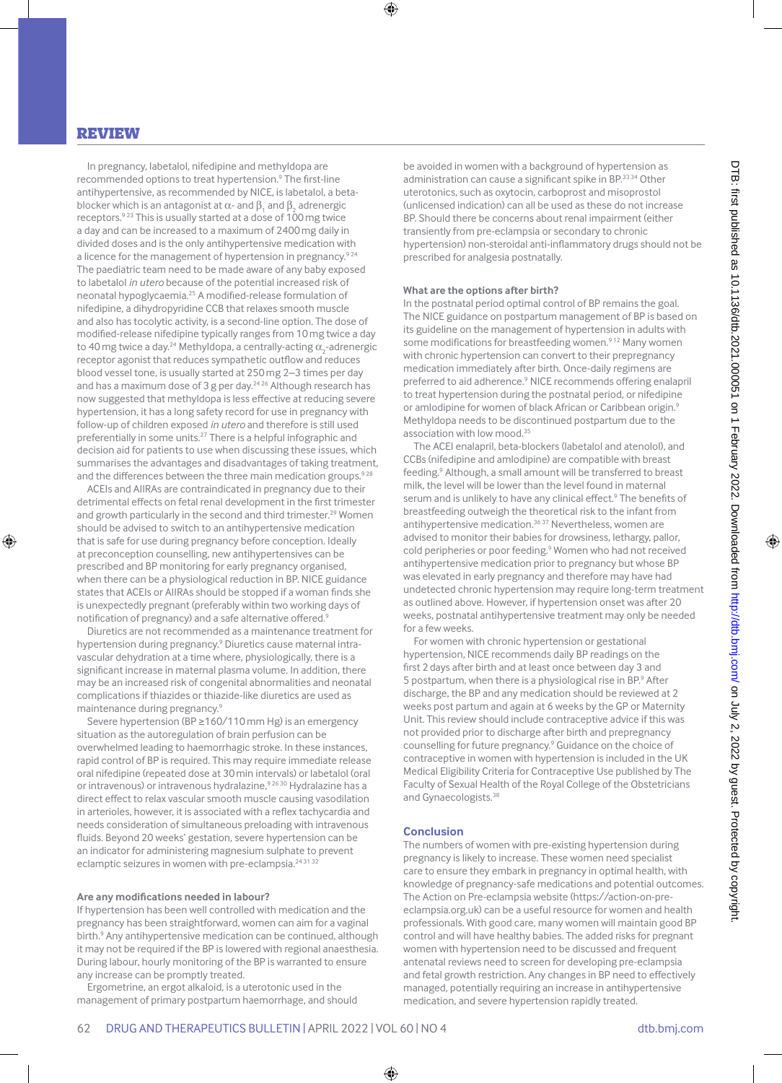In pregnancy, labetalol, nifedipine and methyldopa are recommended options to treat hypertension.<sup>9</sup> The first-line antihypertensive, as recommended by NICE, is labetalol, a betablocker which is an antagonist at  $\alpha$ - and  $\beta_{1}$  and  $\beta_{2}$  adrenergic receptors.<sup>923</sup> This is usually started at a dose of 100 mg twice a day and can be increased to a maximum of 2400mg daily in divided doses and is the only antihypertensive medication with a licence for the management of hypertension in pregnancy.<sup>924</sup> The paediatric team need to be made aware of any baby exposed to labetalol *in utero* because of the potential increased risk of neonatal hypoglycaemia.25 A modified-release formulation of nifedipine, a dihydropyridine CCB that relaxes smooth muscle and also has tocolytic activity, is a second-line option. The dose of modified-release nifedipine typically ranges from 10mg twice a day to 40 mg twice a day. $^{24}$  Methyldopa, a centrally-acting  $\alpha_{_2}$ -adrenergic receptor agonist that reduces sympathetic outflow and reduces blood vessel tone, is usually started at 250mg 2–3 times per day and has a maximum dose of 3 g per day.<sup>24 26</sup> Although research has now suggested that methyldopa is less effective at reducing severe hypertension, it has a long safety record for use in pregnancy with follow-up of children exposed *in utero* and therefore is still used preferentially in some units.<sup>27</sup> There is a helpful infographic and decision aid for patients to use when discussing these issues, which summarises the advantages and disadvantages of taking treatment, and the differences between the three main medication groups.<sup>928</sup>

ACEIs and AIIRAs are contraindicated in pregnancy due to their detrimental effects on fetal renal development in the first trimester and growth particularly in the second and third trimester.<sup>29</sup> Women should be advised to switch to an antihypertensive medication that is safe for use during pregnancy before conception. Ideally at preconception counselling, new antihypertensives can be prescribed and BP monitoring for early pregnancy organised, when there can be a physiological reduction in BP. NICE guidance states that ACEIs or AIIRAs should be stopped if a woman finds she is unexpectedly pregnant (preferably within two working days of notification of pregnancy) and a safe alternative offered.9

Diuretics are not recommended as a maintenance treatment for hypertension during pregnancy.<sup>9</sup> Diuretics cause maternal intravascular dehydration at a time where, physiologically, there is a significant increase in maternal plasma volume. In addition, there may be an increased risk of congenital abnormalities and neonatal complications if thiazides or thiazide-like diuretics are used as maintenance during pregnancy.<sup>9</sup>

Severe hypertension (BP ≥160/110mm Hg) is an emergency situation as the autoregulation of brain perfusion can be overwhelmed leading to haemorrhagic stroke. In these instances, rapid control of BP is required. This may require immediate release oral nifedipine (repeated dose at 30min intervals) or labetalol (oral or intravenous) or intravenous hydralazine,<sup>9 26 30</sup> Hydralazine has a direct effect to relax vascular smooth muscle causing vasodilation in arterioles, however, it is associated with a reflex tachycardia and needs consideration of simultaneous preloading with intravenous fluids. Beyond 20 weeks' gestation, severe hypertension can be an indicator for administering magnesium sulphate to prevent eclamptic seizures in women with pre-eclampsia.<sup>24 31 32</sup>

#### **Are any modifications needed in labour?**

If hypertension has been well controlled with medication and the pregnancy has been straightforward, women can aim for a vaginal birth.<sup>9</sup> Any antihypertensive medication can be continued, although it may not be required if the BP is lowered with regional anaesthesia. During labour, hourly monitoring of the BP is warranted to ensure any increase can be promptly treated.

Ergometrine, an ergot alkaloid, is a uterotonic used in the management of primary postpartum haemorrhage, and should be avoided in women with a background of hypertension as administration can cause a significant spike in BP.<sup>33,34</sup> Other uterotonics, such as oxytocin, carboprost and misoprostol (unlicensed indication) can all be used as these do not increase BP. Should there be concerns about renal impairment (either transiently from pre-eclampsia or secondary to chronic hypertension) non-steroidal anti-inflammatory drugs should not be prescribed for analgesia postnatally.

## **What are the options after birth?**

In the postnatal period optimal control of BP remains the goal. The NICE guidance on postpartum management of BP is based on its guideline on the management of hypertension in adults with some modifications for breastfeeding women.<sup>912</sup> Many women with chronic hypertension can convert to their prepregnancy medication immediately after birth. Once-daily regimens are preferred to aid adherence.<sup>9</sup> NICE recommends offering enalapril to treat hypertension during the postnatal period, or nifedipine or amlodipine for women of black African or Caribbean origin.<sup>9</sup> Methyldopa needs to be discontinued postpartum due to the association with low mood.35

The ACEI enalapril, beta-blockers (labetalol and atenolol), and CCBs (nifedipine and amlodipine) are compatible with breast feeding.<sup>9</sup> Although, a small amount will be transferred to breast milk, the level will be lower than the level found in maternal serum and is unlikely to have any clinical effect.<sup>9</sup> The benefits of breastfeeding outweigh the theoretical risk to the infant from antihypertensive medication.<sup>36 37</sup> Nevertheless, women are advised to monitor their babies for drowsiness, lethargy, pallor, cold peripheries or poor feeding.<sup>9</sup> Women who had not received antihypertensive medication prior to pregnancy but whose BP was elevated in early pregnancy and therefore may have had undetected chronic hypertension may require long-term treatment as outlined above. However, if hypertension onset was after 20 weeks, postnatal antihypertensive treatment may only be needed for a few weeks.

For women with chronic hypertension or gestational hypertension, NICE recommends daily BP readings on the first 2days after birth and at least once between day 3 and 5 postpartum, when there is a physiological rise in BP. 9 After discharge, the BP and any medication should be reviewed at 2 weeks post partum and again at 6 weeks by the GP or Maternity Unit. This review should include contraceptive advice if this was not provided prior to discharge after birth and prepregnancy counselling for future pregnancy.9 Guidance on the choice of contraceptive in women with hypertension is included in the UK Medical Eligibility Criteria for Contraceptive Use published by The Faculty of Sexual Health of the Royal College of the Obstetricians and Gynaecologists.38

# **Conclusion**

The numbers of women with pre-existing hypertension during pregnancy is likely to increase. These women need specialist care to ensure they embark in pregnancy in optimal health, with knowledge of pregnancy-safe medications and potential outcomes. The Action on Pre-eclampsia website [\(https://action-on-pre](https://action-on-pre-eclampsia.org.uk)[eclampsia.org.uk](https://action-on-pre-eclampsia.org.uk)) can be a useful resource for women and health professionals. With good care, many women will maintain good BP control and will have healthy babies. The added risks for pregnant women with hypertension need to be discussed and frequent antenatal reviews need to screen for developing pre-eclampsia and fetal growth restriction. Any changes in BP need to effectively managed, potentially requiring an increase in antihypertensive medication, and severe hypertension rapidly treated.